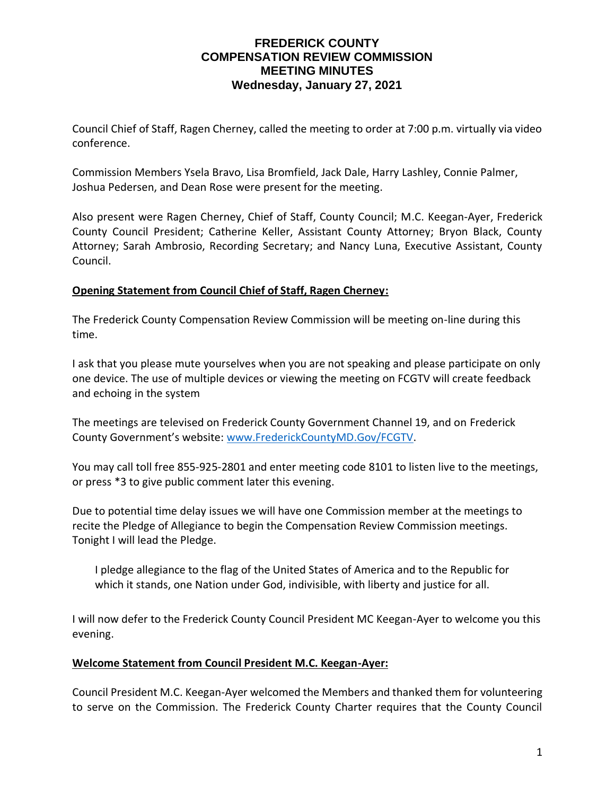### **FREDERICK COUNTY COMPENSATION REVIEW COMMISSION MEETING MINUTES Wednesday, January 27, 2021**

Council Chief of Staff, Ragen Cherney, called the meeting to order at 7:00 p.m. virtually via video conference.

Commission Members Ysela Bravo, Lisa Bromfield, Jack Dale, Harry Lashley, Connie Palmer, Joshua Pedersen, and Dean Rose were present for the meeting.

Also present were Ragen Cherney, Chief of Staff, County Council; M.C. Keegan-Ayer, Frederick County Council President; Catherine Keller, Assistant County Attorney; Bryon Black, County Attorney; Sarah Ambrosio, Recording Secretary; and Nancy Luna, Executive Assistant, County Council.

#### **Opening Statement from Council Chief of Staff, Ragen Cherney:**

The Frederick County Compensation Review Commission will be meeting on-line during this time.

I ask that you please mute yourselves when you are not speaking and please participate on only one device. The use of multiple devices or viewing the meeting on FCGTV will create feedback and echoing in the system

The meetings are televised on Frederick County Government Channel 19, and on Frederick County Government's website: [www.FrederickCountyMD.Gov/FCGTV.](http://www.frederickcountymd.gov/FCGTV)

You may call toll free 855-925-2801 and enter meeting code 8101 to listen live to the meetings, or press \*3 to give public comment later this evening.

Due to potential time delay issues we will have one Commission member at the meetings to recite the Pledge of Allegiance to begin the Compensation Review Commission meetings. Tonight I will lead the Pledge.

I pledge allegiance to the flag of the United States of America and to the Republic for which it stands, one Nation under God, indivisible, with liberty and justice for all.

I will now defer to the Frederick County Council President MC Keegan-Ayer to welcome you this evening.

#### **Welcome Statement from Council President M.C. Keegan-Ayer:**

Council President M.C. Keegan-Ayer welcomed the Members and thanked them for volunteering to serve on the Commission. The Frederick County Charter requires that the County Council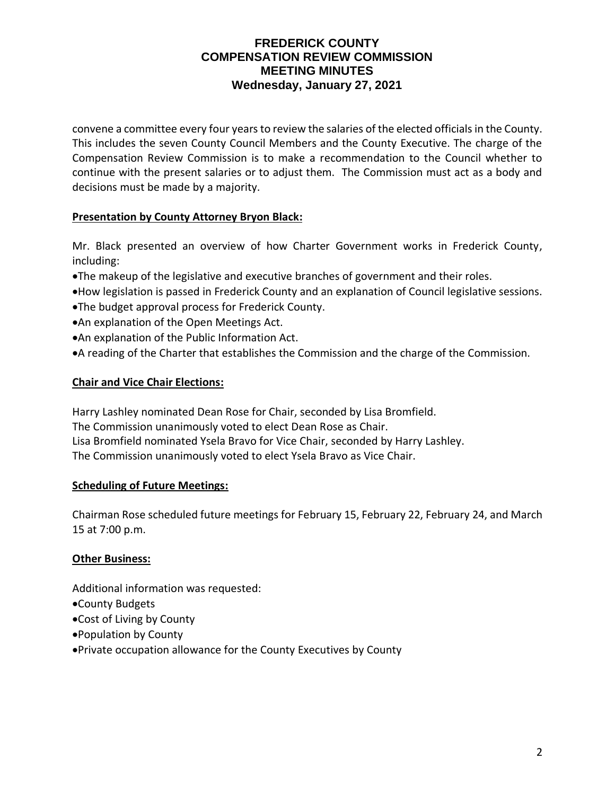## **FREDERICK COUNTY COMPENSATION REVIEW COMMISSION MEETING MINUTES Wednesday, January 27, 2021**

convene a committee every four years to review the salaries of the elected officials in the County. This includes the seven County Council Members and the County Executive. The charge of the Compensation Review Commission is to make a recommendation to the Council whether to continue with the present salaries or to adjust them. The Commission must act as a body and decisions must be made by a majority.

#### **Presentation by County Attorney Bryon Black:**

Mr. Black presented an overview of how Charter Government works in Frederick County, including:

- •The makeup of the legislative and executive branches of government and their roles.
- •How legislation is passed in Frederick County and an explanation of Council legislative sessions.
- •The budget approval process for Frederick County.
- •An explanation of the Open Meetings Act.
- •An explanation of the Public Information Act.
- •A reading of the Charter that establishes the Commission and the charge of the Commission.

#### **Chair and Vice Chair Elections:**

Harry Lashley nominated Dean Rose for Chair, seconded by Lisa Bromfield. The Commission unanimously voted to elect Dean Rose as Chair. Lisa Bromfield nominated Ysela Bravo for Vice Chair, seconded by Harry Lashley. The Commission unanimously voted to elect Ysela Bravo as Vice Chair.

#### **Scheduling of Future Meetings:**

Chairman Rose scheduled future meetings for February 15, February 22, February 24, and March 15 at 7:00 p.m.

#### **Other Business:**

Additional information was requested:

- •County Budgets
- •Cost of Living by County
- •Population by County
- •Private occupation allowance for the County Executives by County